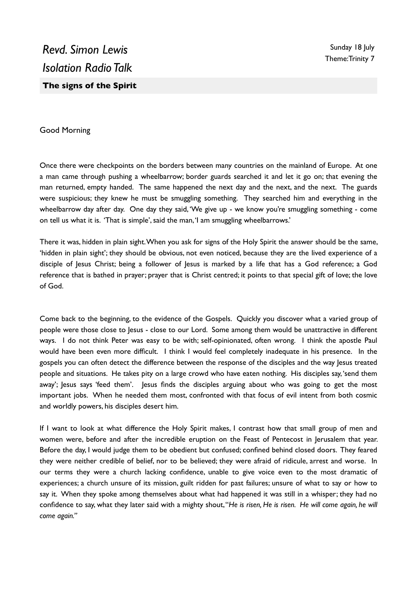## Good Morning

Once there were checkpoints on the borders between many countries on the mainland of Europe. At one a man came through pushing a wheelbarrow; border guards searched it and let it go on; that evening the man returned, empty handed. The same happened the next day and the next, and the next. The guards were suspicious; they knew he must be smuggling something. They searched him and everything in the wheelbarrow day after day. One day they said, 'We give up - we know you're smuggling something - come on tell us what it is. 'That is simple', said the man, 'I am smuggling wheelbarrows.'

There it was, hidden in plain sight. When you ask for signs of the Holy Spirit the answer should be the same, 'hidden in plain sight'; they should be obvious, not even noticed, because they are the lived experience of a disciple of Jesus Christ; being a follower of Jesus is marked by a life that has a God reference; a God reference that is bathed in prayer; prayer that is Christ centred; it points to that special gift of love; the love of God.

Come back to the beginning, to the evidence of the Gospels. Quickly you discover what a varied group of people were those close to Jesus - close to our Lord. Some among them would be unattractive in different ways. I do not think Peter was easy to be with; self-opinionated, often wrong. I think the apostle Paul would have been even more difficult. I think I would feel completely inadequate in his presence. In the gospels you can often detect the difference between the response of the disciples and the way Jesus treated people and situations. He takes pity on a large crowd who have eaten nothing. His disciples say, 'send them away'; Jesus says 'feed them'. Jesus finds the disciples arguing about who was going to get the most important jobs. When he needed them most, confronted with that focus of evil intent from both cosmic and worldly powers, his disciples desert him.

If I want to look at what difference the Holy Spirit makes, I contrast how that small group of men and women were, before and after the incredible eruption on the Feast of Pentecost in Jerusalem that year. Before the day, I would judge them to be obedient but confused; confined behind closed doors. They feared they were neither credible of belief, nor to be believed; they were afraid of ridicule, arrest and worse. In our terms they were a church lacking confidence, unable to give voice even to the most dramatic of experiences; a church unsure of its mission, guilt ridden for past failures; unsure of what to say or how to say it. When they spoke among themselves about what had happened it was still in a whisper; they had no confidence to say, what they later said with a mighty shout, "*He is risen, He is risen. He will come again, he will come again."*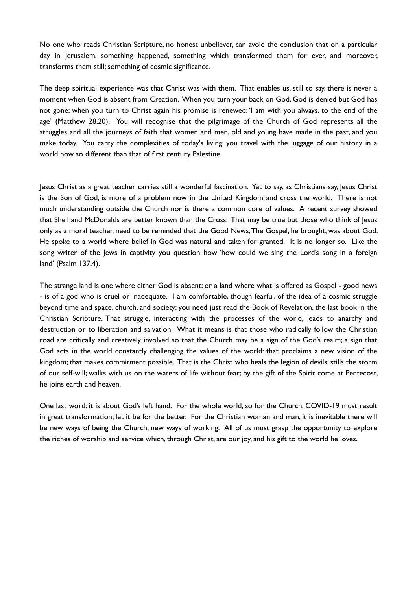No one who reads Christian Scripture, no honest unbeliever, can avoid the conclusion that on a particular day in Jerusalem, something happened, something which transformed them for ever, and moreover, transforms them still; something of cosmic significance.

The deep spiritual experience was that Christ was with them. That enables us, still to say, there is never a moment when God is absent from Creation. When you turn your back on God, God is denied but God has not gone; when you turn to Christ again his promise is renewed: 'I am with you always, to the end of the age' (Matthew 28.20). You will recognise that the pilgrimage of the Church of God represents all the struggles and all the journeys of faith that women and men, old and young have made in the past, and you make today. You carry the complexities of today's living; you travel with the luggage of our history in a world now so different than that of first century Palestine.

Jesus Christ as a great teacher carries still a wonderful fascination. Yet to say, as Christians say, Jesus Christ is the Son of God, is more of a problem now in the United Kingdom and cross the world. There is not much understanding outside the Church nor is there a common core of values. A recent survey showed that Shell and McDonalds are better known than the Cross. That may be true but those who think of Jesus only as a moral teacher, need to be reminded that the Good News, The Gospel, he brought, was about God. He spoke to a world where belief in God was natural and taken for granted. It is no longer so. Like the song writer of the Jews in captivity you question how 'how could we sing the Lord's song in a foreign land' (Psalm 137.4).

The strange land is one where either God is absent; or a land where what is offered as Gospel - good news - is of a god who is cruel or inadequate. I am comfortable, though fearful, of the idea of a cosmic struggle beyond time and space, church, and society; you need just read the Book of Revelation, the last book in the Christian Scripture. That struggle, interacting with the processes of the world, leads to anarchy and destruction or to liberation and salvation. What it means is that those who radically follow the Christian road are critically and creatively involved so that the Church may be a sign of the God's realm; a sign that God acts in the world constantly challenging the values of the world: that proclaims a new vision of the kingdom; that makes commitment possible. That is the Christ who heals the legion of devils; stills the storm of our self-will; walks with us on the waters of life without fear; by the gift of the Spirit come at Pentecost, he joins earth and heaven.

One last word: it is about God's left hand. For the whole world, so for the Church, COVID-19 must result in great transformation; let it be for the better. For the Christian woman and man, it is inevitable there will be new ways of being the Church, new ways of working. All of us must grasp the opportunity to explore the riches of worship and service which, through Christ, are our joy, and his gift to the world he loves.